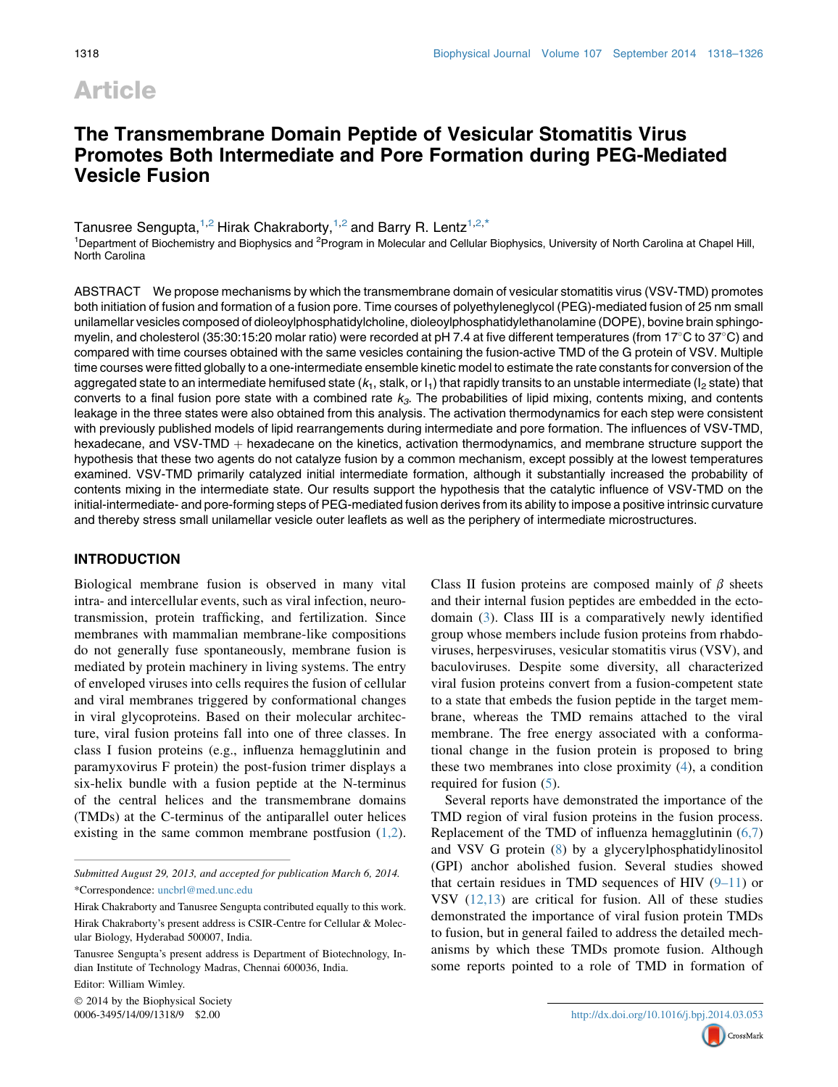# Article

## The Transmembrane Domain Peptide of Vesicular Stomatitis Virus Promotes Both Intermediate and Pore Formation during PEG-Mediated Vesicle Fusion

Tanusree Sengupta,<sup>1,2</sup> Hirak Chakraborty,<sup>1,2</sup> and Barry R. Lentz<sup>1,2,\*</sup>

<sup>1</sup>Department of Biochemistry and Biophysics and <sup>2</sup>Program in Molecular and Cellular Biophysics, University of North Carolina at Chapel Hill, North Carolina

ABSTRACT We propose mechanisms by which the transmembrane domain of vesicular stomatitis virus (VSV-TMD) promotes both initiation of fusion and formation of a fusion pore. Time courses of polyethyleneglycol (PEG)-mediated fusion of 25 nm small unilamellar vesicles composed of dioleoylphosphatidylcholine, dioleoylphosphatidylethanolamine (DOPE), bovine brain sphingomyelin, and cholesterol (35:30:15:20 molar ratio) were recorded at pH 7.4 at five different temperatures (from 17 $\degree$ C to 37 $\degree$ C) and compared with time courses obtained with the same vesicles containing the fusion-active TMD of the G protein of VSV. Multiple time courses were fitted globally to a one-intermediate ensemble kinetic model to estimate the rate constants for conversion of the aggregated state to an intermediate hemifused state ( $k_1$ , stalk, or  $l_1$ ) that rapidly transits to an unstable intermediate ( $l_2$  state) that converts to a final fusion pore state with a combined rate  $k<sub>3</sub>$ . The probabilities of lipid mixing, contents mixing, and contents leakage in the three states were also obtained from this analysis. The activation thermodynamics for each step were consistent with previously published models of lipid rearrangements during intermediate and pore formation. The influences of VSV-TMD, hexadecane, and VSV-TMD  $+$  hexadecane on the kinetics, activation thermodynamics, and membrane structure support the hypothesis that these two agents do not catalyze fusion by a common mechanism, except possibly at the lowest temperatures examined. VSV-TMD primarily catalyzed initial intermediate formation, although it substantially increased the probability of contents mixing in the intermediate state. Our results support the hypothesis that the catalytic influence of VSV-TMD on the initial-intermediate- and pore-forming steps of PEG-mediated fusion derives from its ability to impose a positive intrinsic curvature and thereby stress small unilamellar vesicle outer leaflets as well as the periphery of intermediate microstructures.

## INTRODUCTION

Biological membrane fusion is observed in many vital intra- and intercellular events, such as viral infection, neurotransmission, protein trafficking, and fertilization. Since membranes with mammalian membrane-like compositions do not generally fuse spontaneously, membrane fusion is mediated by protein machinery in living systems. The entry of enveloped viruses into cells requires the fusion of cellular and viral membranes triggered by conformational changes in viral glycoproteins. Based on their molecular architecture, viral fusion proteins fall into one of three classes. In class I fusion proteins (e.g., influenza hemagglutinin and paramyxovirus F protein) the post-fusion trimer displays a six-helix bundle with a fusion peptide at the N-terminus of the central helices and the transmembrane domains (TMDs) at the C-terminus of the antiparallel outer helices existing in the same common membrane postfusion  $(1,2)$ .

Editor: William Wimley.

2014 by the Biophysical Society

Class II fusion proteins are composed mainly of  $\beta$  sheets and their internal fusion peptides are embedded in the ectodomain ([3\)](#page-8-0). Class III is a comparatively newly identified group whose members include fusion proteins from rhabdoviruses, herpesviruses, vesicular stomatitis virus (VSV), and baculoviruses. Despite some diversity, all characterized viral fusion proteins convert from a fusion-competent state to a state that embeds the fusion peptide in the target membrane, whereas the TMD remains attached to the viral membrane. The free energy associated with a conformational change in the fusion protein is proposed to bring these two membranes into close proximity [\(4](#page-8-0)), a condition required for fusion ([5\)](#page-8-0).

Several reports have demonstrated the importance of the TMD region of viral fusion proteins in the fusion process. Replacement of the TMD of influenza hemagglutinin ([6,7](#page-8-0)) and VSV G protein ([8\)](#page-8-0) by a glycerylphosphatidylinositol (GPI) anchor abolished fusion. Several studies showed that certain residues in TMD sequences of HIV  $(9-11)$  or VSV [\(12,13\)](#page-8-0) are critical for fusion. All of these studies demonstrated the importance of viral fusion protein TMDs to fusion, but in general failed to address the detailed mechanisms by which these TMDs promote fusion. Although some reports pointed to a role of TMD in formation of

```
http://dx.doi.org/10.1016/j.bpj.2014.03.053
```
Submitted August 29, 2013, and accepted for publication March 6, 2014. \*Correspondence: [uncbrl@med.unc.edu](mailto:uncbrl@med.unc.edu)

Hirak Chakraborty and Tanusree Sengupta contributed equally to this work. Hirak Chakraborty's present address is CSIR-Centre for Cellular & Molecular Biology, Hyderabad 500007, India.

Tanusree Sengupta's present address is Department of Biotechnology, Indian Institute of Technology Madras, Chennai 600036, India.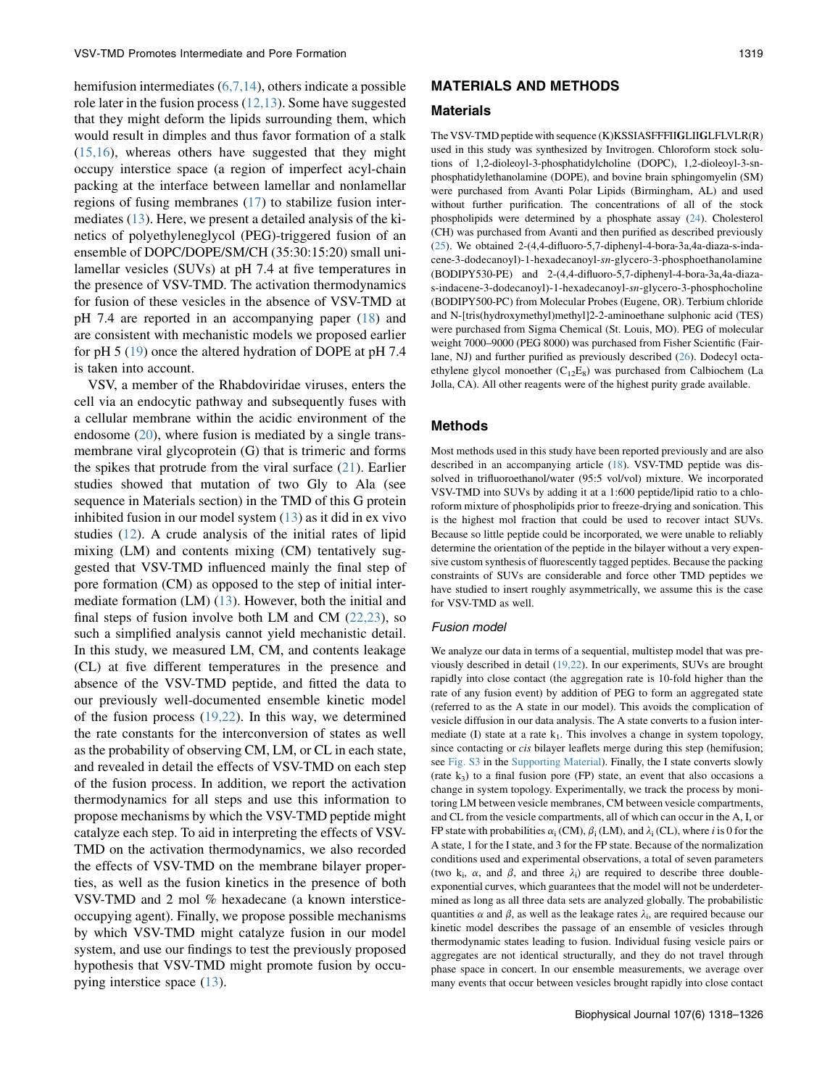hemifusion intermediates  $(6,7,14)$  $(6,7,14)$ , others indicate a possible role later in the fusion process [\(12,13\)](#page-8-0). Some have suggested that they might deform the lipids surrounding them, which would result in dimples and thus favor formation of a stalk ([15,16](#page-8-0)), whereas others have suggested that they might occupy interstice space (a region of imperfect acyl-chain packing at the interface between lamellar and nonlamellar regions of fusing membranes [\(17](#page-8-0)) to stabilize fusion intermediates ([13\)](#page-8-0). Here, we present a detailed analysis of the kinetics of polyethyleneglycol (PEG)-triggered fusion of an ensemble of DOPC/DOPE/SM/CH (35:30:15:20) small unilamellar vesicles (SUVs) at pH 7.4 at five temperatures in the presence of VSV-TMD. The activation thermodynamics for fusion of these vesicles in the absence of VSV-TMD at pH 7.4 are reported in an accompanying paper [\(18](#page-8-0)) and are consistent with mechanistic models we proposed earlier for pH 5 [\(19](#page-8-0)) once the altered hydration of DOPE at pH 7.4 is taken into account.

VSV, a member of the Rhabdoviridae viruses, enters the cell via an endocytic pathway and subsequently fuses with a cellular membrane within the acidic environment of the endosome [\(20](#page-8-0)), where fusion is mediated by a single transmembrane viral glycoprotein (G) that is trimeric and forms the spikes that protrude from the viral surface  $(21)$  $(21)$ . Earlier studies showed that mutation of two Gly to Ala (see sequence in Materials section) in the TMD of this G protein inhibited fusion in our model system ([13\)](#page-8-0) as it did in ex vivo studies ([12\)](#page-8-0). A crude analysis of the initial rates of lipid mixing (LM) and contents mixing (CM) tentatively suggested that VSV-TMD influenced mainly the final step of pore formation (CM) as opposed to the step of initial intermediate formation (LM) [\(13](#page-8-0)). However, both the initial and final steps of fusion involve both LM and CM  $(22,23)$  $(22,23)$  $(22,23)$ , so such a simplified analysis cannot yield mechanistic detail. In this study, we measured LM, CM, and contents leakage (CL) at five different temperatures in the presence and absence of the VSV-TMD peptide, and fitted the data to our previously well-documented ensemble kinetic model of the fusion process [\(19,22\)](#page-8-0). In this way, we determined the rate constants for the interconversion of states as well as the probability of observing CM, LM, or CL in each state, and revealed in detail the effects of VSV-TMD on each step of the fusion process. In addition, we report the activation thermodynamics for all steps and use this information to propose mechanisms by which the VSV-TMD peptide might catalyze each step. To aid in interpreting the effects of VSV-TMD on the activation thermodynamics, we also recorded the effects of VSV-TMD on the membrane bilayer properties, as well as the fusion kinetics in the presence of both VSV-TMD and 2 mol % hexadecane (a known intersticeoccupying agent). Finally, we propose possible mechanisms by which VSV-TMD might catalyze fusion in our model system, and use our findings to test the previously proposed hypothesis that VSV-TMD might promote fusion by occupying interstice space ([13\)](#page-8-0).

## MATERIALS AND METHODS

#### Materials

The VSV-TMD peptide with sequence (K)KSSIASFFFIIGLIIGLFLVLR(R) used in this study was synthesized by Invitrogen. Chloroform stock solutions of 1,2-dioleoyl-3-phosphatidylcholine (DOPC), 1,2-dioleoyl-3-snphosphatidylethanolamine (DOPE), and bovine brain sphingomyelin (SM) were purchased from Avanti Polar Lipids (Birmingham, AL) and used without further purification. The concentrations of all of the stock phospholipids were determined by a phosphate assay ([24\)](#page-8-0). Cholesterol (CH) was purchased from Avanti and then purified as described previously [\(25\)](#page-8-0). We obtained 2-(4,4-difluoro-5,7-diphenyl-4-bora-3a,4a-diaza-s-indacene-3-dodecanoyl)-1-hexadecanoyl-sn-glycero-3-phosphoethanolamine (BODIPY530-PE) and 2-(4,4-difluoro-5,7-diphenyl-4-bora-3a,4a-diazas-indacene-3-dodecanoyl)-1-hexadecanoyl-sn-glycero-3-phosphocholine (BODIPY500-PC) from Molecular Probes (Eugene, OR). Terbium chloride and N-[tris(hydroxymethyl)methyl]2-2-aminoethane sulphonic acid (TES) were purchased from Sigma Chemical (St. Louis, MO). PEG of molecular weight 7000–9000 (PEG 8000) was purchased from Fisher Scientific (Fairlane, NJ) and further purified as previously described ([26\)](#page-8-0). Dodecyl octaethylene glycol monoether  $(C_{12}E_8)$  was purchased from Calbiochem (La Jolla, CA). All other reagents were of the highest purity grade available.

#### Methods

Most methods used in this study have been reported previously and are also described in an accompanying article ([18\)](#page-8-0). VSV-TMD peptide was dissolved in trifluoroethanol/water (95:5 vol/vol) mixture. We incorporated VSV-TMD into SUVs by adding it at a 1:600 peptide/lipid ratio to a chloroform mixture of phospholipids prior to freeze-drying and sonication. This is the highest mol fraction that could be used to recover intact SUVs. Because so little peptide could be incorporated, we were unable to reliably determine the orientation of the peptide in the bilayer without a very expensive custom synthesis of fluorescently tagged peptides. Because the packing constraints of SUVs are considerable and force other TMD peptides we have studied to insert roughly asymmetrically, we assume this is the case for VSV-TMD as well.

#### Fusion model

We analyze our data in terms of a sequential, multistep model that was previously described in detail ([19,22\)](#page-8-0). In our experiments, SUVs are brought rapidly into close contact (the aggregation rate is 10-fold higher than the rate of any fusion event) by addition of PEG to form an aggregated state (referred to as the A state in our model). This avoids the complication of vesicle diffusion in our data analysis. The A state converts to a fusion intermediate (I) state at a rate  $k_1$ . This involves a change in system topology, since contacting or *cis* bilayer leaflets merge during this step (hemifusion; see [Fig. S3](#page-7-0) in the [Supporting Material](#page-7-0)). Finally, the I state converts slowly (rate  $k_3$ ) to a final fusion pore (FP) state, an event that also occasions a change in system topology. Experimentally, we track the process by monitoring LM between vesicle membranes, CM between vesicle compartments, and CL from the vesicle compartments, all of which can occur in the A, I, or FP state with probabilities  $\alpha_i$  (CM),  $\beta_i$  (LM), and  $\lambda_i$  (CL), where i is 0 for the A state, 1 for the I state, and 3 for the FP state. Because of the normalization conditions used and experimental observations, a total of seven parameters (two k<sub>i</sub>,  $\alpha$ , and  $\beta$ , and three  $\lambda_i$ ) are required to describe three doubleexponential curves, which guarantees that the model will not be underdetermined as long as all three data sets are analyzed globally. The probabilistic quantities  $\alpha$  and  $\beta$ , as well as the leakage rates  $\lambda_i$ , are required because our kinetic model describes the passage of an ensemble of vesicles through thermodynamic states leading to fusion. Individual fusing vesicle pairs or aggregates are not identical structurally, and they do not travel through phase space in concert. In our ensemble measurements, we average over many events that occur between vesicles brought rapidly into close contact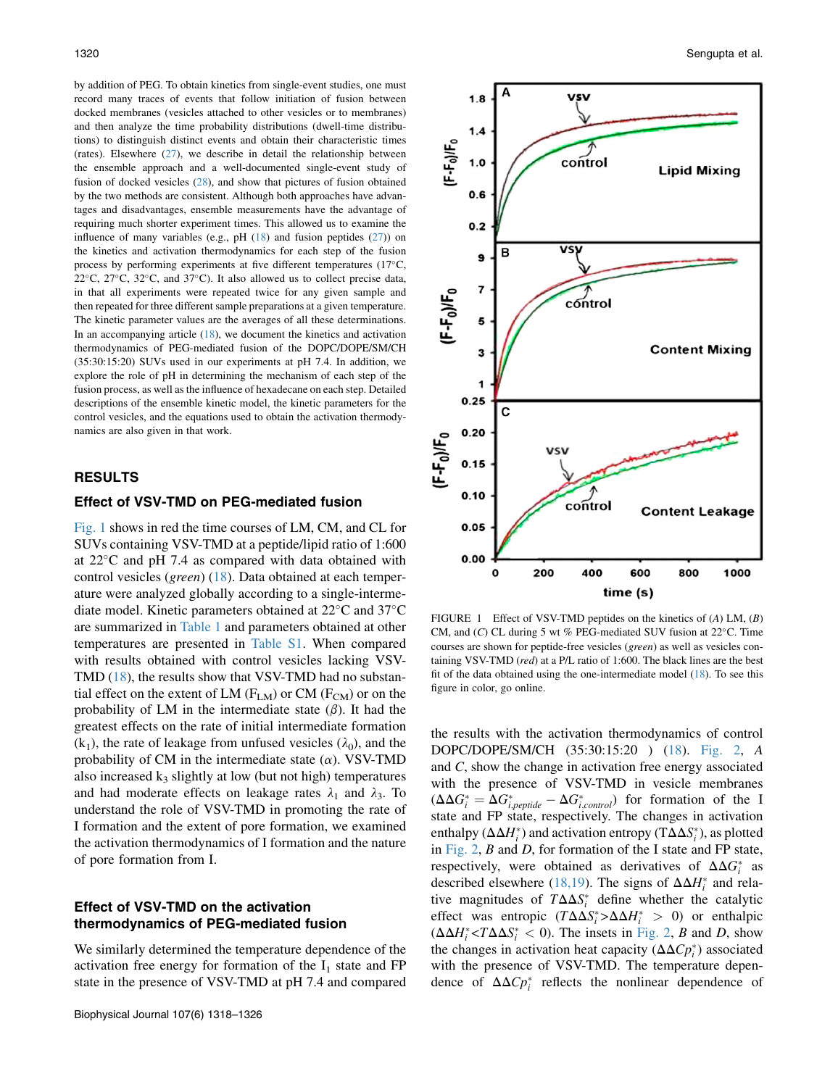by addition of PEG. To obtain kinetics from single-event studies, one must record many traces of events that follow initiation of fusion between docked membranes (vesicles attached to other vesicles or to membranes) and then analyze the time probability distributions (dwell-time distributions) to distinguish distinct events and obtain their characteristic times (rates). Elsewhere  $(27)$  $(27)$ , we describe in detail the relationship between the ensemble approach and a well-documented single-event study of fusion of docked vesicles ([28\)](#page-8-0), and show that pictures of fusion obtained by the two methods are consistent. Although both approaches have advantages and disadvantages, ensemble measurements have the advantage of requiring much shorter experiment times. This allowed us to examine the influence of many variables (e.g., pH ([18\)](#page-8-0) and fusion peptides [\(27\)](#page-8-0)) on the kinetics and activation thermodynamics for each step of the fusion process by performing experiments at five different temperatures  $(17^{\circ}C,$ 22 $\degree$ C, 27 $\degree$ C, 32 $\degree$ C, and 37 $\degree$ C). It also allowed us to collect precise data, in that all experiments were repeated twice for any given sample and then repeated for three different sample preparations at a given temperature. The kinetic parameter values are the averages of all these determinations. In an accompanying article ([18\)](#page-8-0), we document the kinetics and activation thermodynamics of PEG-mediated fusion of the DOPC/DOPE/SM/CH (35:30:15:20) SUVs used in our experiments at pH 7.4. In addition, we explore the role of pH in determining the mechanism of each step of the fusion process, as well as the influence of hexadecane on each step. Detailed descriptions of the ensemble kinetic model, the kinetic parameters for the control vesicles, and the equations used to obtain the activation thermodynamics are also given in that work.

#### RESULTS

### Effect of VSV-TMD on PEG-mediated fusion

Fig. 1 shows in red the time courses of LM, CM, and CL for SUVs containing VSV-TMD at a peptide/lipid ratio of 1:600 at  $22^{\circ}$ C and pH 7.4 as compared with data obtained with control vesicles (green) ([18\)](#page-8-0). Data obtained at each temperature were analyzed globally according to a single-intermediate model. Kinetic parameters obtained at  $22^{\circ}$ C and  $37^{\circ}$ C are summarized in [Table 1](#page-3-0) and parameters obtained at other temperatures are presented in [Table S1.](#page-7-0) When compared with results obtained with control vesicles lacking VSV-TMD [\(18](#page-8-0)), the results show that VSV-TMD had no substantial effect on the extent of LM  $(F_{LM})$  or CM  $(F_{CM})$  or on the probability of LM in the intermediate state  $(\beta)$ . It had the greatest effects on the rate of initial intermediate formation  $(k_1)$ , the rate of leakage from unfused vesicles  $(\lambda_0)$ , and the probability of CM in the intermediate state  $(\alpha)$ . VSV-TMD also increased  $k_3$  slightly at low (but not high) temperatures and had moderate effects on leakage rates  $\lambda_1$  and  $\lambda_3$ . To understand the role of VSV-TMD in promoting the rate of I formation and the extent of pore formation, we examined the activation thermodynamics of I formation and the nature of pore formation from I.

## Effect of VSV-TMD on the activation thermodynamics of PEG-mediated fusion

We similarly determined the temperature dependence of the activation free energy for formation of the  $I_1$  state and FP state in the presence of VSV-TMD at pH 7.4 and compared



FIGURE 1 Effect of VSV-TMD peptides on the kinetics of  $(A)$  LM,  $(B)$ CM, and  $(C)$  CL during 5 wt % PEG-mediated SUV fusion at 22 $^{\circ}$ C. Time courses are shown for peptide-free vesicles (green) as well as vesicles containing VSV-TMD (red) at a P/L ratio of 1:600. The black lines are the best fit of the data obtained using the one-intermediate model  $(18)$  $(18)$ . To see this figure in color, go online.

the results with the activation thermodynamics of control DOPC/DOPE/SM/CH (35:30:15:20 ) [\(18](#page-8-0)). [Fig. 2](#page-4-0), A and C, show the change in activation free energy associated with the presence of VSV-TMD in vesicle membranes  $(\Delta \Delta G_i^* = \Delta G_{i, peptide}^* - \Delta G_{i,control}^*)$  for formation of the I state and FP state, respectively. The changes in activation enthalpy ( $\Delta \Delta H_i^*$ ) and activation entropy ( $\text{T}\Delta \Delta S_i^*$ ), as plotted in [Fig. 2](#page-4-0),  $B$  and  $D$ , for formation of the I state and FP state, respectively, were obtained as derivatives of  $\Delta\Delta G_i^*$  as described elsewhere ([18,19](#page-8-0)). The signs of  $\Delta \Delta H_i^*$  and relative magnitudes of  $T\Delta\Delta S_i^*$  define whether the catalytic effect was entropic  $(T\Delta \Delta S_i^* > \Delta \Delta H_i^* > 0)$  or enthalpic  $(\Delta \Delta H_i^* < T \Delta \Delta S_i^* < 0)$ . The insets in [Fig. 2,](#page-4-0) B and D, show the changes in activation heat capacity  $(\Delta \Delta C p_i^*)$  associated with the presence of VSV-TMD. The temperature dependence of  $\Delta \Delta C p_i^*$  reflects the nonlinear dependence of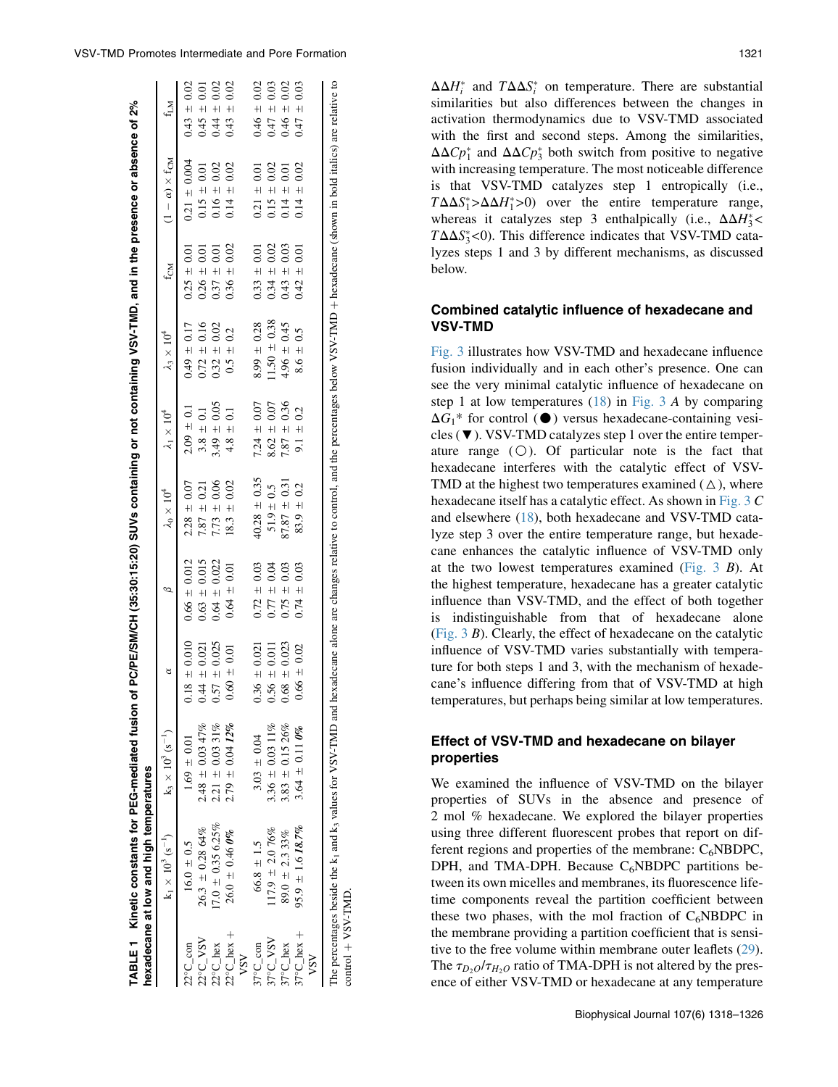<span id="page-3-0"></span>

|                      |                                      | hexadecane at low and high temperatures |                  |                      |                               |                             |                         |                    |                                  |                     |
|----------------------|--------------------------------------|-----------------------------------------|------------------|----------------------|-------------------------------|-----------------------------|-------------------------|--------------------|----------------------------------|---------------------|
|                      | $k_1 \times 10^3$ (s <sup>-1</sup> ) | $k_3 \times 10^3$ (s <sup>-1</sup> )    |                  | S                    | $\lambda_0 \times 10^4$       | $\lambda_1\times10^4$       | $\lambda_3 \times 10^4$ | $f_{CM}$           | $(1-\alpha)\times f_{\text{CM}}$ | $\rm{f}_{LM}$       |
| $22^{\circ}$ C_con   | $16.0 \pm 0.5$                       | $1.69 \pm 0.01$                         | $18 \pm 0.010$   | $0.66 \pm 0.012$     | $2.28 \pm 0.07$               | $2.09 \pm 0.1$              | $0.49 \pm 0.17$         | $0.25 \pm 0.01$    | $0.21 \pm 0.004$                 | $0.43 \pm 0.02$     |
| $22^{\circ}$ C_VSV   | $26.3 \pm 0.2864\%$                  | $2.48 \pm 0.0347\%$                     | $0.44 \pm 0.021$ | $0.63 \pm 0.015$     | $7.87 \pm 0.21$               | $\overline{0}$<br>$3.8 \pm$ | $0.72 \pm 0.16$         | $0.26 \pm 0.01$    | $0.15 \pm 0.01$                  | $0.45 \pm 0.01$     |
| $22^{\circ}$ C_hex   | $17.0 \pm 0.356.25\%$                | $2.21 \pm 0.0331\%$                     | $0.57 \pm 0.025$ | $0.64 \pm 0.022$     | $7.73 \pm 0.06$               | $3.49 \pm 0.05$             | $0.32 \pm 0.02$         | $0.37 \pm 0.01$    | $0.16 \pm 0.02$                  | $0.44 \pm 0.02$     |
| $22^{\circ}$ C_hex + | $26.0 \pm 0.46$ 0%                   | $2.79 \pm 0.04$ 12%                     | $.60 \pm 0.01$   | $0.64 \pm 0.01$      | $18.3 \pm 0.02$               | $\overline{0}$<br>$4.8 \pm$ | $0.5 \pm 0.2$           | $0.36 \pm 0.02$    | $0.14 \pm 0.02$                  | $0.43 \pm 0.02$     |
| VSV                  |                                      |                                         |                  |                      |                               |                             |                         |                    |                                  |                     |
| $37^{\circ}$ C_con   | $66.8 \pm 1.5$                       | $3.03 \pm 0.04$                         | $.36 \pm 0.021$  | $0.72 \pm 0.03$      | $40.28 \pm 0.35$              | $7.24 \pm 0.07$             | $8.99 \pm 0.28$         | ± 0.01<br>0.33     | $0.21 \pm 0.01$                  | $0.46 \pm 0.02$     |
| $37^{\circ}$ C_VSV   | $117.9 \pm 2.076\%$                  | 3.36 $\pm$ 0.03 11%                     | $.56 \pm 0.011$  | 0.04<br>$-$ 77 $\pm$ | $\widetilde{0}$ .<br>$51.9 +$ | 0.07<br>$+1$<br>8.62        | $1.50 \pm 0.38$         | $\pm 0.02$<br>0.34 | $0.15 \pm 0.02$                  | 0.03<br>$+ 10.47 +$ |
| 87°C hex             | $89.0 \pm 2.333\%$                   | $3.83 \pm 0.1526\%$                     | $0.68 \pm 0.023$ | $0.75 \pm 0.03$      | $87.87 \pm 0.31$              | $7.87 \pm 0.36$             | $4.96 \pm 0.45$         | ± 0.03<br>0.43     | ± 0.01<br>0.14                   | $0.46 \pm 0.02$     |
| $37^{\circ}$ C hex + | $95.9 \pm 1.6$ 18.7%                 | 3.64 $\pm$ 0.11 0%                      | $.66 \pm 0.02$   | $0.74 \pm 0.03$      | $83.9 \pm 0.2$                | 0.2<br>$9.1 +$              | $8.6 \pm 0.5$           | $\pm 0.01$<br>0.42 | ± 0.02<br>0.14                   | 0.03<br>$\pm$ 74.0  |
| VSV                  |                                      |                                         |                  |                      |                               |                             |                         |                    |                                  |                     |

The percentages beside the  $k_1$  and  $k_3$  values for VSV-TMD and hexadecane alone are changes relative to control, and the percentages below VSV-TMD control  $^+$ VSV-TMD.

 $\Delta \Delta H_i^*$  and  $T \Delta \Delta S_i^*$  on temperature. There are substantial similarities but also differences between the changes in activation thermodynamics due to VSV-TMD associated with the first and second steps. Among the similarities,  $\Delta \Delta C p_1^*$  and  $\Delta \Delta C p_3^*$  both switch from positive to negative with increasing temperature. The most noticeable difference is that VSV-TMD catalyzes step 1 entropically (i.e.,  $T\Delta\Delta S_1^*$ > $\Delta\Delta H_1^*$ >0) over the entire temperature range, whereas it catalyzes step 3 enthalpically (i.e.,  $\Delta \Delta H_3^*$  <  $T\Delta\Delta S_3^*$ <0). This difference indicates that VSV-TMD catalyzes steps 1 and 3 by different mechanisms, as discussed below.

## Combined catalytic influence of hexadecane and VSV-TMD

[Fig. 3](#page-5-0) illustrates how VSV-TMD and hexadecane influence fusion individually and in each other's presence. One can see the very minimal catalytic influence of hexadecane on step 1 at low temperatures  $(18)$  $(18)$  in [Fig. 3](#page-5-0) A by comparing  $\Delta G_1^*$  for control ( $\bullet$ ) versus hexadecane-containing vesicles  $(\blacktriangledown)$ . VSV-TMD catalyzes step 1 over the entire temperature range  $(O)$ . Of particular note is the fact that hexadecane interferes with the catalytic effect of VSV-TMD at the highest two temperatures examined ( $\triangle$ ), where hexadecane itself has a catalytic effect. As shown in [Fig. 3](#page-5-0) C and elsewhere ([18\)](#page-8-0), both hexadecane and VSV-TMD catalyze step 3 over the entire temperature range, but hexadecane enhances the catalytic influence of VSV-TMD only at the two lowest temperatures examined (Fig.  $3 \, B$ ). At the highest temperature, hexadecane has a greater catalytic influence than VSV-TMD, and the effect of both together is indistinguishable from that of hexadecane alone ([Fig. 3](#page-5-0) B). Clearly, the effect of hexadecane on the catalytic influence of VSV-TMD varies substantially with temperature for both steps 1 and 3, with the mechanism of hexadecane's influence differing from that of VSV-TMD at high temperatures, but perhaps being similar at low temperatures.

## Effect of VSV-TMD and hexadecane on bilayer properties

We examined the influence of VSV-TMD on the bilayer properties of SUVs in the absence and presence of 2 mol % hexadecane. We explored the bilayer properties using three different fluorescent probes that report on different regions and properties of the membrane:  $C_6$ NBDPC, DPH, and TMA-DPH. Because  $C_6$ NBDPC partitions between its own micelles and membranes, its fluorescence lifetime components reveal the partition coefficient between these two phases, with the mol fraction of  $C_6$ NBDPC in the membrane providing a partition coefficient that is sensitive to the free volume within membrane outer leaflets ([29\)](#page-8-0). The  $\tau_{D_2O}/\tau_{H_2O}$  ratio of TMA-DPH is not altered by the presence of either VSV-TMD or hexadecane at any temperature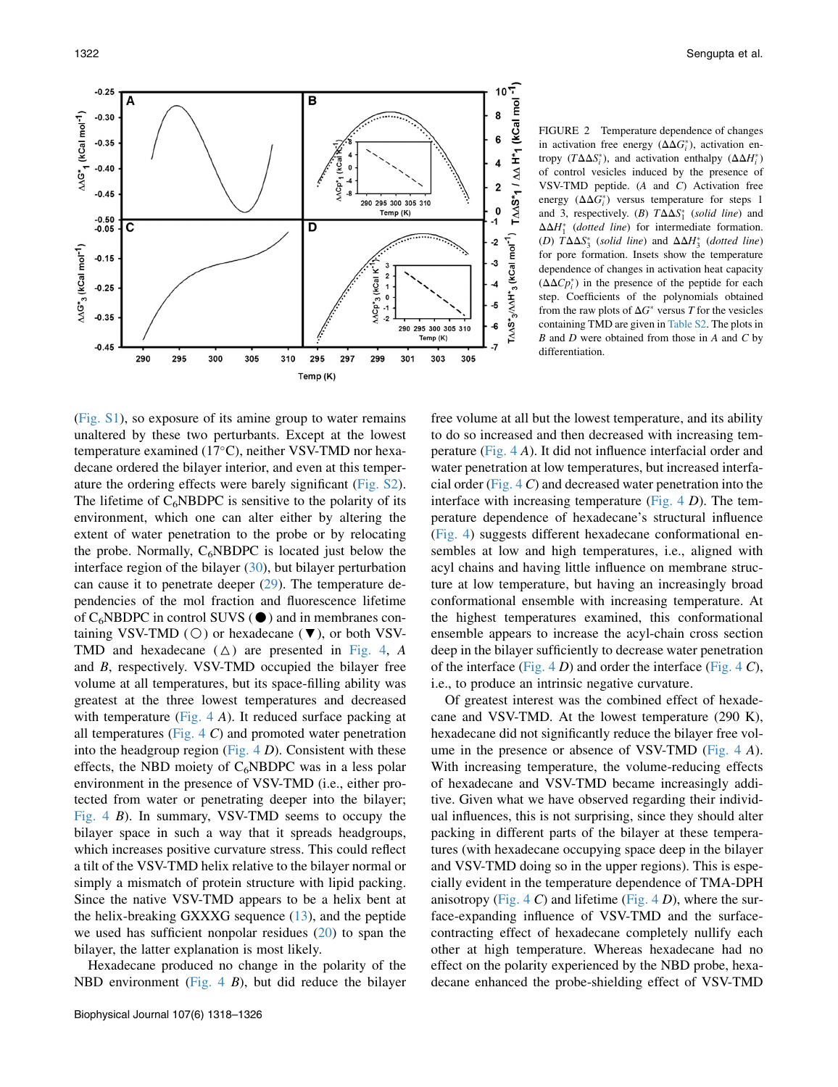<span id="page-4-0"></span>

FIGURE 2 Temperature dependence of changes in activation free energy  $(\Delta \Delta G_i^*)$ , activation entropy  $(T\Delta \Delta S_i^*)$ , and activation enthalpy  $(\Delta \Delta H_i^*)$ of control vesicles induced by the presence of VSV-TMD peptide. (A and C) Activation free energy  $(\Delta \Delta G_i^*)$  versus temperature for steps 1 and 3, respectively. (B)  $T\Delta\Delta S_1^*$  (solid line) and  $\Delta\Delta H_1^*$  (dotted line) for intermediate formation. (D)  $T\Delta\Delta S_3^*$  (solid line) and  $\Delta\Delta H_3^*$  (dotted line) for pore formation. Insets show the temperature dependence of changes in activation heat capacity  $(\Delta \Delta C p_i^*)$  in the presence of the peptide for each step. Coefficients of the polynomials obtained from the raw plots of  $\Delta G^*$  versus T for the vesicles containing TMD are given in [Table S2.](#page-7-0) The plots in  $B$  and  $D$  were obtained from those in  $A$  and  $C$  by differentiation.

([Fig. S1](#page-7-0)), so exposure of its amine group to water remains unaltered by these two perturbants. Except at the lowest temperature examined (17 $^{\circ}$ C), neither VSV-TMD nor hexadecane ordered the bilayer interior, and even at this temperature the ordering effects were barely significant [\(Fig. S2\)](#page-7-0). The lifetime of  $C_6$ NBDPC is sensitive to the polarity of its environment, which one can alter either by altering the extent of water penetration to the probe or by relocating the probe. Normally,  $C_6$ NBDPC is located just below the interface region of the bilayer [\(30](#page-8-0)), but bilayer perturbation can cause it to penetrate deeper [\(29](#page-8-0)). The temperature dependencies of the mol fraction and fluorescence lifetime of  $C_6$ NBDPC in control SUVS ( $\bullet$ ) and in membranes containing VSV-TMD ( $\bigcirc$ ) or hexadecane ( $\nabla$ ), or both VSV-TMD and hexadecane  $(\triangle)$  are presented in [Fig. 4](#page-6-0), A and B, respectively. VSV-TMD occupied the bilayer free volume at all temperatures, but its space-filling ability was greatest at the three lowest temperatures and decreased with temperature (Fig.  $4 \text{ } A$ ). It reduced surface packing at all temperatures [\(Fig. 4](#page-6-0)  $C$ ) and promoted water penetration into the headgroup region (Fig.  $4 D$ ). Consistent with these effects, the NBD moiety of  $C_6$ NBDPC was in a less polar environment in the presence of VSV-TMD (i.e., either protected from water or penetrating deeper into the bilayer; [Fig. 4](#page-6-0) B). In summary, VSV-TMD seems to occupy the bilayer space in such a way that it spreads headgroups, which increases positive curvature stress. This could reflect a tilt of the VSV-TMD helix relative to the bilayer normal or simply a mismatch of protein structure with lipid packing. Since the native VSV-TMD appears to be a helix bent at the helix-breaking GXXXG sequence ([13\)](#page-8-0), and the peptide we used has sufficient nonpolar residues [\(20](#page-8-0)) to span the bilayer, the latter explanation is most likely.

Hexadecane produced no change in the polarity of the NBD environment (Fig.  $4$  B), but did reduce the bilayer free volume at all but the lowest temperature, and its ability to do so increased and then decreased with increasing temperature [\(Fig. 4](#page-6-0) A). It did not influence interfacial order and water penetration at low temperatures, but increased interfa-cial order [\(Fig. 4](#page-6-0) C) and decreased water penetration into the interface with increasing temperature (Fig.  $4 D$ ). The temperature dependence of hexadecane's structural influence ([Fig. 4](#page-6-0)) suggests different hexadecane conformational ensembles at low and high temperatures, i.e., aligned with acyl chains and having little influence on membrane structure at low temperature, but having an increasingly broad conformational ensemble with increasing temperature. At the highest temperatures examined, this conformational ensemble appears to increase the acyl-chain cross section deep in the bilayer sufficiently to decrease water penetration of the interface ([Fig. 4](#page-6-0)  $D$ ) and order the interface [\(Fig. 4](#page-6-0)  $C$ ), i.e., to produce an intrinsic negative curvature.

Of greatest interest was the combined effect of hexadecane and VSV-TMD. At the lowest temperature (290 K), hexadecane did not significantly reduce the bilayer free volume in the presence or absence of VSV-TMD (Fig.  $4 \text{ A}$ ). With increasing temperature, the volume-reducing effects of hexadecane and VSV-TMD became increasingly additive. Given what we have observed regarding their individual influences, this is not surprising, since they should alter packing in different parts of the bilayer at these temperatures (with hexadecane occupying space deep in the bilayer and VSV-TMD doing so in the upper regions). This is especially evident in the temperature dependence of TMA-DPH anisotropy ([Fig. 4](#page-6-0) C) and lifetime [\(Fig. 4](#page-6-0) D), where the surface-expanding influence of VSV-TMD and the surfacecontracting effect of hexadecane completely nullify each other at high temperature. Whereas hexadecane had no effect on the polarity experienced by the NBD probe, hexadecane enhanced the probe-shielding effect of VSV-TMD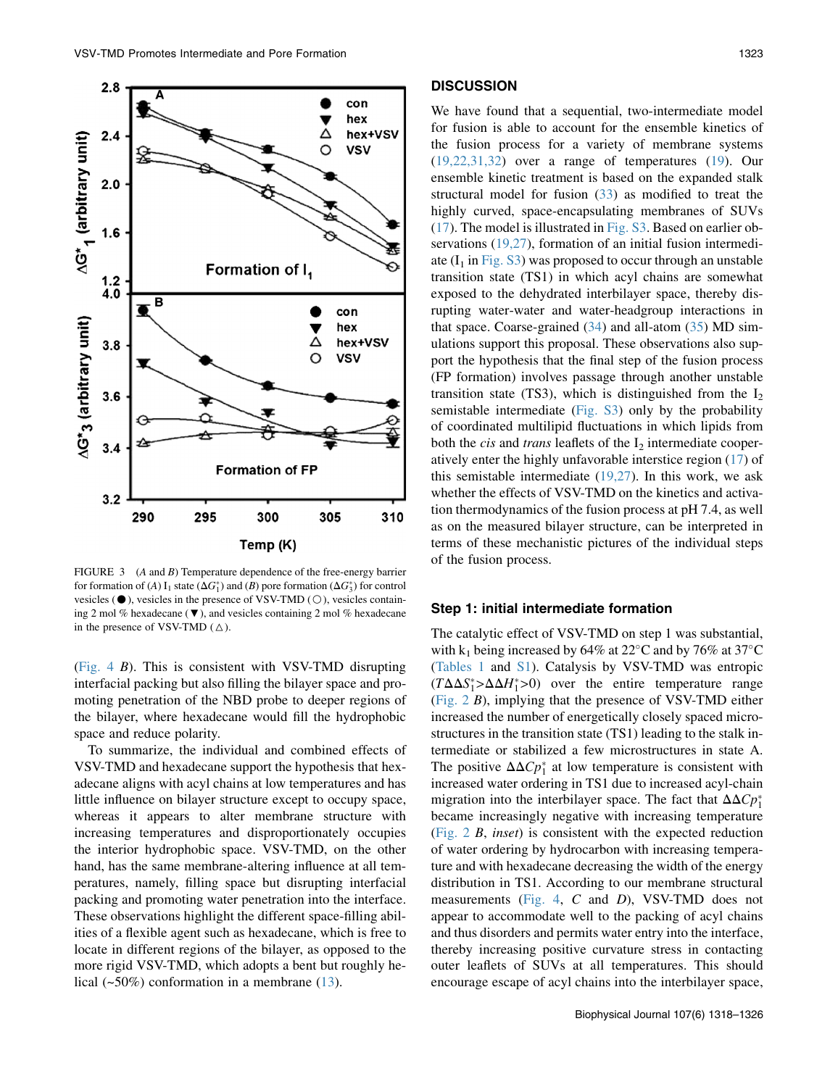<span id="page-5-0"></span>

FIGURE 3 (A and B) Temperature dependence of the free-energy barrier for formation of (A)  $I_1$  state ( $\Delta G_1^*$ ) and (B) pore formation ( $\Delta G_3^*$ ) for control vesicles  $(\bullet)$ , vesicles in the presence of VSV-TMD ( $\bigcirc$ ), vesicles containing 2 mol % hexadecane  $(\blacktriangledown)$ , and vesicles containing 2 mol % hexadecane in the presence of VSV-TMD  $(\triangle)$ .

([Fig. 4](#page-6-0) B). This is consistent with VSV-TMD disrupting interfacial packing but also filling the bilayer space and promoting penetration of the NBD probe to deeper regions of the bilayer, where hexadecane would fill the hydrophobic space and reduce polarity.

To summarize, the individual and combined effects of VSV-TMD and hexadecane support the hypothesis that hexadecane aligns with acyl chains at low temperatures and has little influence on bilayer structure except to occupy space, whereas it appears to alter membrane structure with increasing temperatures and disproportionately occupies the interior hydrophobic space. VSV-TMD, on the other hand, has the same membrane-altering influence at all temperatures, namely, filling space but disrupting interfacial packing and promoting water penetration into the interface. These observations highlight the different space-filling abilities of a flexible agent such as hexadecane, which is free to locate in different regions of the bilayer, as opposed to the more rigid VSV-TMD, which adopts a bent but roughly helical  $(-50\%)$  conformation in a membrane  $(13)$  $(13)$ .

#### **DISCUSSION**

We have found that a sequential, two-intermediate model for fusion is able to account for the ensemble kinetics of the fusion process for a variety of membrane systems ([19,22,31,32](#page-8-0)) over a range of temperatures ([19\)](#page-8-0). Our ensemble kinetic treatment is based on the expanded stalk structural model for fusion ([33\)](#page-8-0) as modified to treat the highly curved, space-encapsulating membranes of SUVs ([17\)](#page-8-0). The model is illustrated in [Fig. S3.](#page-7-0) Based on earlier ob-servations ([19,27](#page-8-0)), formation of an initial fusion intermediate  $(I_1$  in [Fig. S3](#page-7-0)) was proposed to occur through an unstable transition state (TS1) in which acyl chains are somewhat exposed to the dehydrated interbilayer space, thereby disrupting water-water and water-headgroup interactions in that space. Coarse-grained [\(34](#page-8-0)) and all-atom ([35\)](#page-8-0) MD simulations support this proposal. These observations also support the hypothesis that the final step of the fusion process (FP formation) involves passage through another unstable transition state (TS3), which is distinguished from the  $I_2$ semistable intermediate ([Fig. S3](#page-7-0)) only by the probability of coordinated multilipid fluctuations in which lipids from both the *cis* and *trans* leaflets of the  $I_2$  intermediate cooperatively enter the highly unfavorable interstice region ([17\)](#page-8-0) of this semistable intermediate ([19,27](#page-8-0)). In this work, we ask whether the effects of VSV-TMD on the kinetics and activation thermodynamics of the fusion process at pH 7.4, as well as on the measured bilayer structure, can be interpreted in terms of these mechanistic pictures of the individual steps of the fusion process.

#### Step 1: initial intermediate formation

The catalytic effect of VSV-TMD on step 1 was substantial, with k<sub>1</sub> being increased by 64% at 22 $^{\circ}$ C and by 76% at 37 $^{\circ}$ C ([Tables 1](#page-3-0) and [S1\)](#page-7-0). Catalysis by VSV-TMD was entropic  $(T\Delta\Delta S_1^*>\Delta\Delta H_1^*>0)$  over the entire temperature range ([Fig. 2](#page-4-0) B), implying that the presence of VSV-TMD either increased the number of energetically closely spaced microstructures in the transition state (TS1) leading to the stalk intermediate or stabilized a few microstructures in state A. The positive  $\Delta \Delta C p_1^*$  at low temperature is consistent with increased water ordering in TS1 due to increased acyl-chain migration into the interbilayer space. The fact that  $\Delta \Delta C p_1^*$ became increasingly negative with increasing temperature ([Fig. 2](#page-4-0) B, inset) is consistent with the expected reduction of water ordering by hydrocarbon with increasing temperature and with hexadecane decreasing the width of the energy distribution in TS1. According to our membrane structural measurements ([Fig. 4](#page-6-0), C and D), VSV-TMD does not appear to accommodate well to the packing of acyl chains and thus disorders and permits water entry into the interface, thereby increasing positive curvature stress in contacting outer leaflets of SUVs at all temperatures. This should encourage escape of acyl chains into the interbilayer space,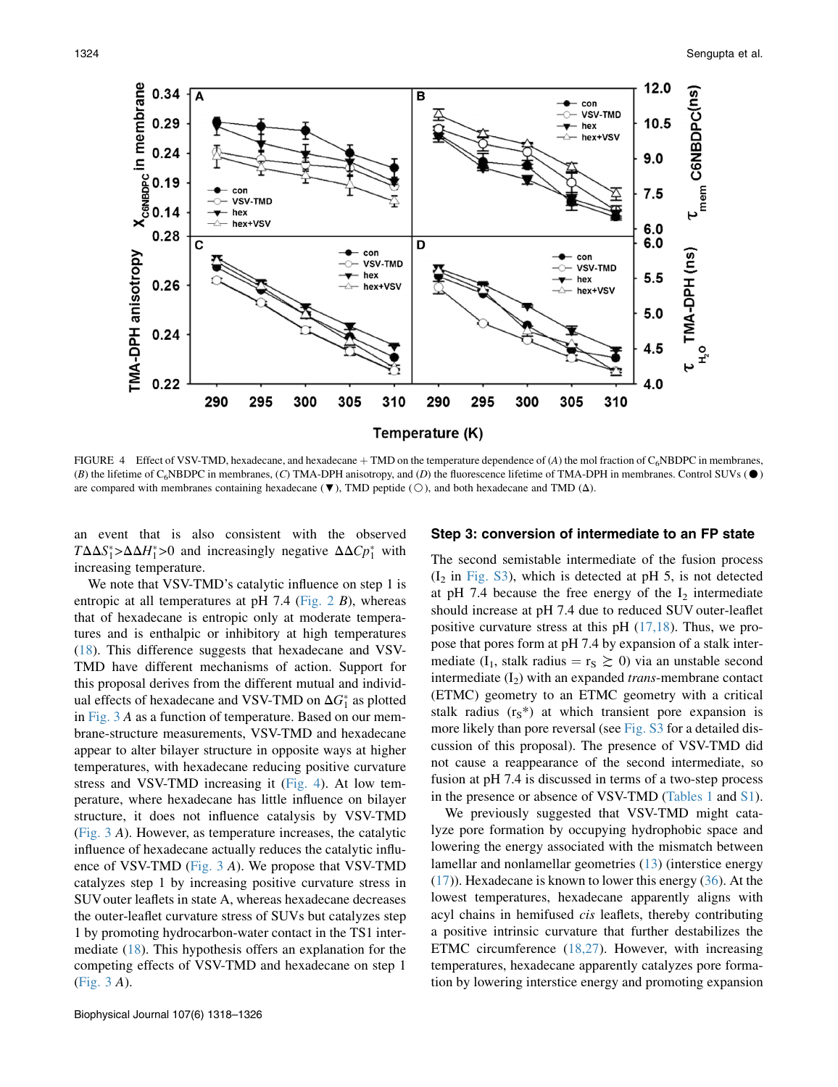<span id="page-6-0"></span>

FIGURE 4 Effect of VSV-TMD, hexadecane, and hexadecane + TMD on the temperature dependence of (A) the mol fraction of  $C_6NBDPC$  in membranes, (B) the lifetime of  $C_6NBDPC$  in membranes, (C) TMA-DPH anisotropy, and (D) the fluorescence lifetime of TMA-DPH in membranes. Control SUVs ( $\bullet$ ) are compared with membranes containing hexadecane ( $\nabla$ ), TMD peptide ( $\bigcirc$ ), and both hexadecane and TMD ( $\Delta$ ).

an event that is also consistent with the observed  $T\Delta\Delta S_1^*$ > $\Delta\Delta H_1^*$ >0 and increasingly negative  $\Delta\Delta Cp_1^*$  with increasing temperature.

## Step 3: conversion of intermediate to an FP state

We note that VSV-TMD's catalytic influence on step 1 is entropic at all temperatures at pH 7.4 [\(Fig. 2](#page-4-0) B), whereas that of hexadecane is entropic only at moderate temperatures and is enthalpic or inhibitory at high temperatures ([18\)](#page-8-0). This difference suggests that hexadecane and VSV-TMD have different mechanisms of action. Support for this proposal derives from the different mutual and individual effects of hexadecane and VSV-TMD on  $\Delta G_1^*$  as plotted in [Fig. 3](#page-5-0) A as a function of temperature. Based on our membrane-structure measurements, VSV-TMD and hexadecane appear to alter bilayer structure in opposite ways at higher temperatures, with hexadecane reducing positive curvature stress and VSV-TMD increasing it (Fig. 4). At low temperature, where hexadecane has little influence on bilayer structure, it does not influence catalysis by VSV-TMD ([Fig. 3](#page-5-0) A). However, as temperature increases, the catalytic influence of hexadecane actually reduces the catalytic influence of VSV-TMD [\(Fig. 3](#page-5-0) A). We propose that VSV-TMD catalyzes step 1 by increasing positive curvature stress in SUV outer leaflets in state A, whereas hexadecane decreases the outer-leaflet curvature stress of SUVs but catalyzes step 1 by promoting hydrocarbon-water contact in the TS1 intermediate ([18\)](#page-8-0). This hypothesis offers an explanation for the competing effects of VSV-TMD and hexadecane on step 1 ([Fig. 3](#page-5-0) A).

The second semistable intermediate of the fusion process  $(I_2$  in [Fig. S3](#page-7-0)), which is detected at pH 5, is not detected at pH 7.4 because the free energy of the  $I_2$  intermediate should increase at pH 7.4 due to reduced SUV outer-leaflet positive curvature stress at this pH  $(17,18)$  $(17,18)$  $(17,18)$ . Thus, we propose that pores form at pH 7.4 by expansion of a stalk intermediate (I<sub>1</sub>, stalk radius =  $r_S \ge 0$ ) via an unstable second intermediate  $(I_2)$  with an expanded *trans*-membrane contact (ETMC) geometry to an ETMC geometry with a critical stalk radius  $(r<sub>S</sub>*)$  at which transient pore expansion is more likely than pore reversal (see [Fig. S3](#page-7-0) for a detailed discussion of this proposal). The presence of VSV-TMD did not cause a reappearance of the second intermediate, so fusion at pH 7.4 is discussed in terms of a two-step process in the presence or absence of VSV-TMD ([Tables 1](#page-3-0) and [S1\)](#page-7-0).

We previously suggested that VSV-TMD might catalyze pore formation by occupying hydrophobic space and lowering the energy associated with the mismatch between lamellar and nonlamellar geometries ([13\)](#page-8-0) (interstice energy ([17\)](#page-8-0)). Hexadecane is known to lower this energy [\(36](#page-8-0)). At the lowest temperatures, hexadecane apparently aligns with acyl chains in hemifused cis leaflets, thereby contributing a positive intrinsic curvature that further destabilizes the ETMC circumference [\(18,27](#page-8-0)). However, with increasing temperatures, hexadecane apparently catalyzes pore formation by lowering interstice energy and promoting expansion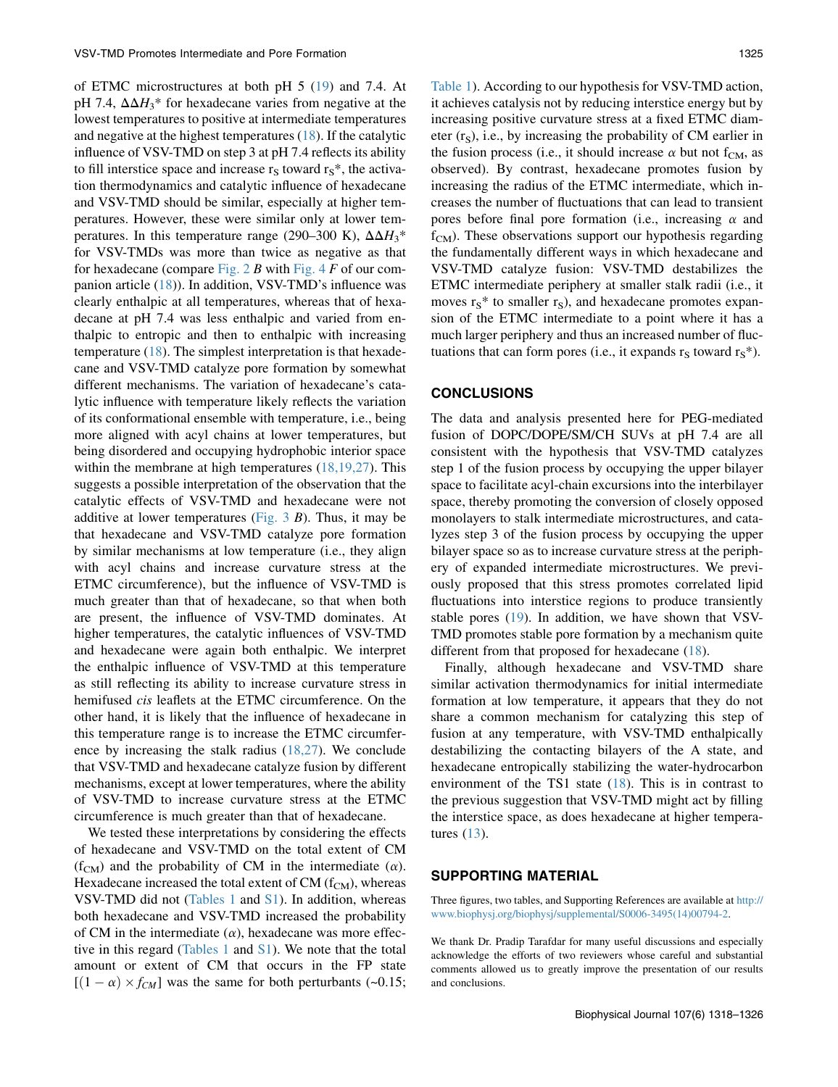<span id="page-7-0"></span>of ETMC microstructures at both pH 5 [\(19](#page-8-0)) and 7.4. At pH 7.4,  $\Delta \Delta H_3^*$  for hexadecane varies from negative at the lowest temperatures to positive at intermediate temperatures and negative at the highest temperatures [\(18](#page-8-0)). If the catalytic influence of VSV-TMD on step 3 at pH 7.4 reflects its ability to fill interstice space and increase  $r<sub>S</sub>$  toward  $r<sub>S</sub>$ <sup>\*</sup>, the activation thermodynamics and catalytic influence of hexadecane and VSV-TMD should be similar, especially at higher temperatures. However, these were similar only at lower temperatures. In this temperature range (290–300 K),  $\Delta \Delta H_3^*$ for VSV-TMDs was more than twice as negative as that for hexadecane (compare Fig.  $2 B$  with Fig.  $4 F$  of our companion article [\(18](#page-8-0))). In addition, VSV-TMD's influence was clearly enthalpic at all temperatures, whereas that of hexadecane at pH 7.4 was less enthalpic and varied from enthalpic to entropic and then to enthalpic with increasing temperature ([18\)](#page-8-0). The simplest interpretation is that hexadecane and VSV-TMD catalyze pore formation by somewhat different mechanisms. The variation of hexadecane's catalytic influence with temperature likely reflects the variation of its conformational ensemble with temperature, i.e., being more aligned with acyl chains at lower temperatures, but being disordered and occupying hydrophobic interior space within the membrane at high temperatures [\(18,19,27](#page-8-0)). This suggests a possible interpretation of the observation that the catalytic effects of VSV-TMD and hexadecane were not additive at lower temperatures (Fig.  $3 \, B$ ). Thus, it may be that hexadecane and VSV-TMD catalyze pore formation by similar mechanisms at low temperature (i.e., they align with acyl chains and increase curvature stress at the ETMC circumference), but the influence of VSV-TMD is much greater than that of hexadecane, so that when both are present, the influence of VSV-TMD dominates. At higher temperatures, the catalytic influences of VSV-TMD and hexadecane were again both enthalpic. We interpret the enthalpic influence of VSV-TMD at this temperature as still reflecting its ability to increase curvature stress in hemifused cis leaflets at the ETMC circumference. On the other hand, it is likely that the influence of hexadecane in this temperature range is to increase the ETMC circumference by increasing the stalk radius ([18,27](#page-8-0)). We conclude that VSV-TMD and hexadecane catalyze fusion by different mechanisms, except at lower temperatures, where the ability of VSV-TMD to increase curvature stress at the ETMC circumference is much greater than that of hexadecane.

We tested these interpretations by considering the effects of hexadecane and VSV-TMD on the total extent of CM  $(f_{CM})$  and the probability of CM in the intermediate  $(\alpha)$ . Hexadecane increased the total extent of CM  $(f<sub>CM</sub>)$ , whereas VSV-TMD did not ([Tables 1](#page-3-0) and S1). In addition, whereas both hexadecane and VSV-TMD increased the probability of CM in the intermediate  $(\alpha)$ , hexadecane was more effective in this regard [\(Tables 1](#page-3-0) and S1). We note that the total amount or extent of CM that occurs in the FP state  $[(1 - \alpha) \times f_{CM}]$  was the same for both perturbants (~0.15; [Table 1](#page-3-0)). According to our hypothesis for VSV-TMD action, it achieves catalysis not by reducing interstice energy but by increasing positive curvature stress at a fixed ETMC diameter  $(r<sub>S</sub>)$ , i.e., by increasing the probability of CM earlier in the fusion process (i.e., it should increase  $\alpha$  but not f<sub>CM</sub>, as observed). By contrast, hexadecane promotes fusion by increasing the radius of the ETMC intermediate, which increases the number of fluctuations that can lead to transient pores before final pore formation (i.e., increasing  $\alpha$  and  $f<sub>CM</sub>$ ). These observations support our hypothesis regarding the fundamentally different ways in which hexadecane and VSV-TMD catalyze fusion: VSV-TMD destabilizes the ETMC intermediate periphery at smaller stalk radii (i.e., it moves  $r_s$ <sup>\*</sup> to smaller  $r_s$ ), and hexadecane promotes expansion of the ETMC intermediate to a point where it has a much larger periphery and thus an increased number of fluctuations that can form pores (i.e., it expands  $r_s$  toward  $r_s^*$ ).

## **CONCLUSIONS**

The data and analysis presented here for PEG-mediated fusion of DOPC/DOPE/SM/CH SUVs at pH 7.4 are all consistent with the hypothesis that VSV-TMD catalyzes step 1 of the fusion process by occupying the upper bilayer space to facilitate acyl-chain excursions into the interbilayer space, thereby promoting the conversion of closely opposed monolayers to stalk intermediate microstructures, and catalyzes step 3 of the fusion process by occupying the upper bilayer space so as to increase curvature stress at the periphery of expanded intermediate microstructures. We previously proposed that this stress promotes correlated lipid fluctuations into interstice regions to produce transiently stable pores [\(19](#page-8-0)). In addition, we have shown that VSV-TMD promotes stable pore formation by a mechanism quite different from that proposed for hexadecane [\(18](#page-8-0)).

Finally, although hexadecane and VSV-TMD share similar activation thermodynamics for initial intermediate formation at low temperature, it appears that they do not share a common mechanism for catalyzing this step of fusion at any temperature, with VSV-TMD enthalpically destabilizing the contacting bilayers of the A state, and hexadecane entropically stabilizing the water-hydrocarbon environment of the TS1 state ([18\)](#page-8-0). This is in contrast to the previous suggestion that VSV-TMD might act by filling the interstice space, as does hexadecane at higher temperatures [\(13](#page-8-0)).

#### SUPPORTING MATERIAL

Three figures, two tables, and Supporting References are available at [http://](http://www.biophysj.org/biophysj/supplemental/S0006-3495(14)00794-2) [www.biophysj.org/biophysj/supplemental/S0006-3495\(14\)00794-2](http://www.biophysj.org/biophysj/supplemental/S0006-3495(14)00794-2).

We thank Dr. Pradip Tarafdar for many useful discussions and especially acknowledge the efforts of two reviewers whose careful and substantial comments allowed us to greatly improve the presentation of our results and conclusions.